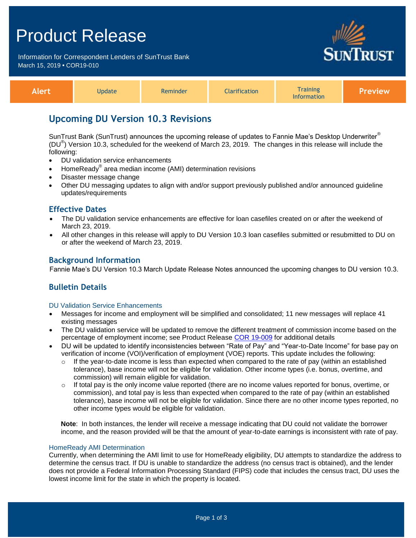# Product Release

Information for Correspondent Lenders of SunTrust Bank March 15, 2019 **•** COR19-010



| Alert | <b>Update</b> | Reminder | <b>Clarification</b> | <b>Training</b><br><b>Information</b> | / Preview |
|-------|---------------|----------|----------------------|---------------------------------------|-----------|
|-------|---------------|----------|----------------------|---------------------------------------|-----------|

## **Upcoming DU Version 10.3 Revisions**

SunTrust Bank (SunTrust) announces the upcoming release of updates to Fannie Mae's Desktop Underwriter® (DU<sup>®</sup>) Version 10.3, scheduled for the weekend of March 23, 2019. The changes in this release will include the following:

- DU validation service enhancements
- HomeReady® area median income (AMI) determination revisions
- Disaster message change
- Other DU messaging updates to align with and/or support previously published and/or announced guideline updates/requirements

### **Effective Dates**

- The DU validation service enhancements are effective for loan casefiles created on or after the weekend of March 23, 2019.
- All other changes in this release will apply to DU Version 10.3 loan casefiles submitted or resubmitted to DU on or after the weekend of March 23, 2019.

### **Background Information**

Fannie Mae's DU Version 10.3 March Update Release Notes announced the upcoming changes to DU version 10.3.

## **Bulletin Details**

#### DU Validation Service Enhancements

- Messages for income and employment will be simplified and consolidated; 11 new messages will replace 41 existing messages
- The DU validation service will be updated to remove the different treatment of commission income based on the percentage of employment income; see Product Release [COR 19-009](https://www.truistsellerguide.com/Manual/cor/bulletins/archive/Cr19-009.pdf) for additional details
- DU will be updated to identify inconsistencies between "Rate of Pay" and "Year-to-Date Income" for base pay on verification of income (VOI)/verification of employment (VOE) reports. This update includes the following:
	- $\circ$  If the year-to-date income is less than expected when compared to the rate of pay (within an established tolerance), base income will not be eligible for validation. Other income types (i.e. bonus, overtime, and commission) will remain eligible for validation.
	- $\circ$  If total pay is the only income value reported (there are no income values reported for bonus, overtime, or commission), and total pay is less than expected when compared to the rate of pay (within an established tolerance), base income will not be eligible for validation. Since there are no other income types reported, no other income types would be eligible for validation.

**Note**: In both instances, the lender will receive a message indicating that DU could not validate the borrower income, and the reason provided will be that the amount of year-to-date earnings is inconsistent with rate of pay.

#### HomeReady AMI Determination

Currently, when determining the AMI limit to use for HomeReady eligibility, DU attempts to standardize the address to determine the census tract. If DU is unable to standardize the address (no census tract is obtained), and the lender does not provide a Federal Information Processing Standard (FIPS) code that includes the census tract, DU uses the lowest income limit for the state in which the property is located.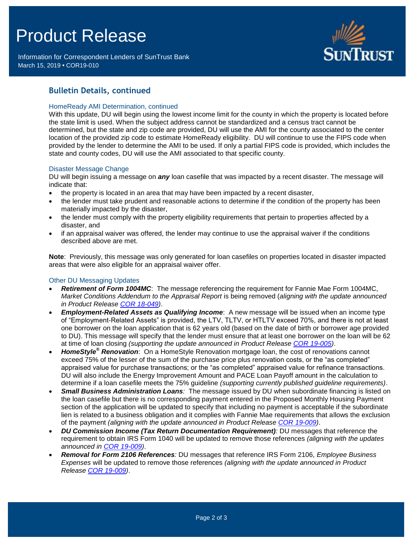# Product Release

Information for Correspondent Lenders of SunTrust Bank March 15, 2019 **•** COR19-010



## **Bulletin Details, continued**

#### HomeReady AMI Determination, continued

With this update, DU will begin using the lowest income limit for the county in which the property is located before the state limit is used. When the subject address cannot be standardized and a census tract cannot be determined, but the state and zip code are provided, DU will use the AMI for the county associated to the center location of the provided zip code to estimate HomeReady eligibility. DU will continue to use the FIPS code when provided by the lender to determine the AMI to be used. If only a partial FIPS code is provided, which includes the state and county codes, DU will use the AMI associated to that specific county.

#### Disaster Message Change

DU will begin issuing a message on *any* loan casefile that was impacted by a recent disaster. The message will indicate that:

- the property is located in an area that may have been impacted by a recent disaster,
- the lender must take prudent and reasonable actions to determine if the condition of the property has been materially impacted by the disaster,
- the lender must comply with the property eligibility requirements that pertain to properties affected by a disaster, and
- if an appraisal waiver was offered, the lender may continue to use the appraisal waiver if the conditions described above are met.

**Note**: Previously, this message was only generated for loan casefiles on properties located in disaster impacted areas that were also eligible for an appraisal waiver offer.

#### Other DU Messaging Updates

- *Retirement of Form 1004MC*: The message referencing the requirement for Fannie Mae Form 1004MC, *Market Conditions Addendum to the Appraisal Report* is being removed (*aligning with the update announced in Product Release [COR 18-049\)](https://www.truistsellerguide.com/Manual/cor/bulletins/archive/Cr18-049.pdf)*.
- *Employment-Related Assets as Qualifying Income*: A new message will be issued when an income type of "Employment-Related Assets" is provided, the LTV, TLTV, or HTLTV exceed 70%, and there is not at least one borrower on the loan application that is 62 years old (based on the date of birth or borrower age provided to DU). This message will specify that the lender must ensure that at least one borrower on the loan will be 62 at time of loan closing *(supporting the update announced in Product Release [COR 19-005\)](https://www.truistsellerguide.com/Manual/cor/bulletins/archive/Cr19-005.pdf)*.
- *HomeStyle® Renovation*: On a HomeStyle Renovation mortgage loan, the cost of renovations cannot exceed 75% of the lesser of the sum of the purchase price plus renovation costs, or the "as completed" appraised value for purchase transactions; or the "as completed" appraised value for refinance transactions. DU will also include the Energy Improvement Amount and PACE Loan Payoff amount in the calculation to determine if a loan casefile meets the 75% guideline *(supporting currently published guideline requirements)*.
- *Small Business Administration Loans:* The message issued by DU when subordinate financing is listed on the loan casefile but there is no corresponding payment entered in the Proposed Monthly Housing Payment section of the application will be updated to specify that including no payment is acceptable if the subordinate lien is related to a business obligation and it complies with Fannie Mae requirements that allows the exclusion of the payment *(aligning with the update announced in Product Release [COR 19-009\)](https://www.truistsellerguide.com/Manual/cor/bulletins/archive/Cr19-009.pdf)*.
- *DU Commission Income (Tax Return Documentation Requirement):* DU messages that reference the requirement to obtain IRS Form 1040 will be updated to remove those references *(aligning with the updates announced in [COR 19-009\)](https://www.truistsellerguide.com/Manual/cor/bulletins/archive/Cr19-009.pdf)*.
- *Removal for Form 2106 References:* DU messages that reference IRS Form 2106, *Employee Business Expenses* will be updated to remove those references *(aligning with the update announced in Product Release [COR 19-009\)](https://www.truistsellerguide.com/Manual/cor/bulletins/archive/Cr19-009.pdf)*.